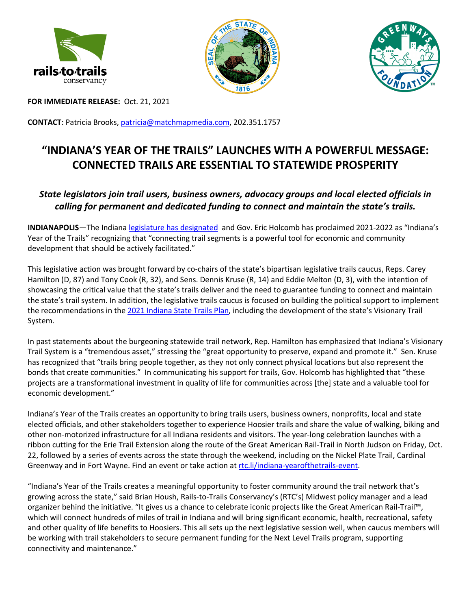





**FOR IMMEDIATE RELEASE:** Oct. 21, 2021

**CONTACT**: Patricia Brooks, patricia@matchmapmedia.com, 202.351.1757

## **"INDIANA'S YEAR OF THE TRAILS" LAUNCHES WITH A POWERFUL MESSAGE: CONNECTED TRAILS ARE ESSENTIAL TO STATEWIDE PROSPERITY**

## *State legislators join trail users, business owners, advocacy groups and local elected officials in calling for permanent and dedicated funding to connect and maintain the state's trails.*

**INDIANAPOLIS**—The Indiana legislature has designated and Gov. Eric Holcomb has proclaimed 2021-2022 as "Indiana's Year of the Trails" recognizing that "connecting trail segments is a powerful tool for economic and community development that should be actively facilitated."

This legislative action was brought forward by co-chairs of the state's bipartisan legislative trails caucus, Reps. Carey Hamilton (D, 87) and Tony Cook (R, 32), and Sens. Dennis Kruse (R, 14) and Eddie Melton (D, 3), with the intention of showcasing the critical value that the state's trails deliver and the need to guarantee funding to connect and maintain the state's trail system. In addition, the legislative trails caucus is focused on building the political support to implement the recommendations in the 2021 Indiana State Trails Plan, including the development of the state's Visionary Trail System.

In past statements about the burgeoning statewide trail network, Rep. Hamilton has emphasized that Indiana's Visionary Trail System is a "tremendous asset," stressing the "great opportunity to preserve, expand and promote it." Sen. Kruse has recognized that "trails bring people together, as they not only connect physical locations but also represent the bonds that create communities." In communicating his support for trails, Gov. Holcomb has highlighted that "these projects are a transformational investment in quality of life for communities across [the] state and a valuable tool for economic development."

Indiana's Year of the Trails creates an opportunity to bring trails users, business owners, nonprofits, local and state elected officials, and other stakeholders together to experience Hoosier trails and share the value of walking, biking and other non-motorized infrastructure for all Indiana residents and visitors. The year-long celebration launches with a ribbon cutting for the Erie Trail Extension along the route of the Great American Rail-Trail in North Judson on Friday, Oct. 22, followed by a series of events across the state through the weekend, including on the Nickel Plate Trail, Cardinal Greenway and in Fort Wayne. Find an event or take action at rtc.li/indiana-yearofthetrails-event.

"Indiana's Year of the Trails creates a meaningful opportunity to foster community around the trail network that's growing across the state," said Brian Housh, Rails-to-Trails Conservancy's (RTC's) Midwest policy manager and a lead organizer behind the initiative. "It gives us a chance to celebrate iconic projects like the Great American Rail-Trail™, which will connect hundreds of miles of trail in Indiana and will bring significant economic, health, recreational, safety and other quality of life benefits to Hoosiers. This all sets up the next legislative session well, when caucus members will be working with trail stakeholders to secure permanent funding for the Next Level Trails program, supporting connectivity and maintenance."